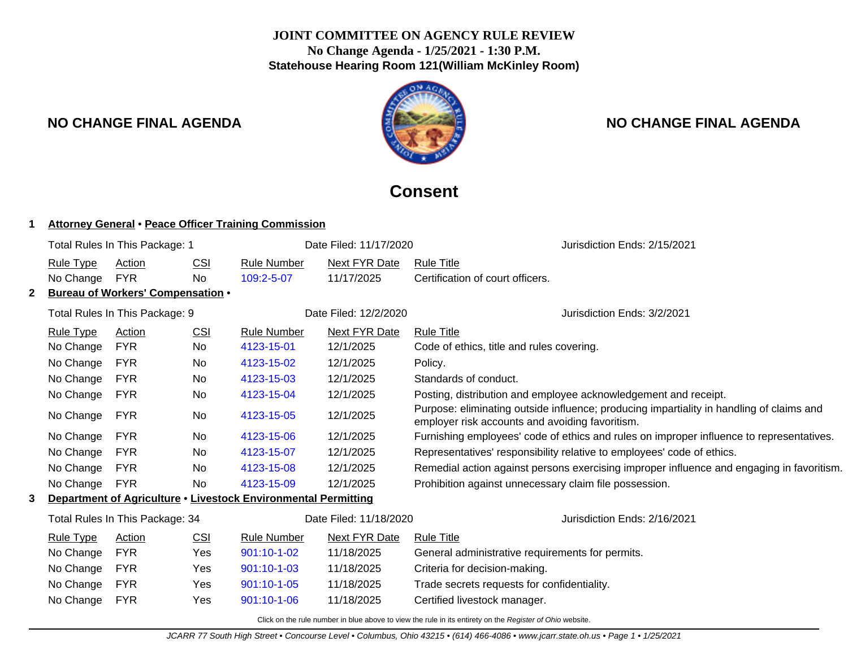# **JOINT COMMITTEE ON AGENCY RULE REVIEW No Change Agenda - 1/25/2021 - 1:30 P.M. Statehouse Hearing Room 121(William McKinley Room)**



# **NO CHANGE FINAL AGENDA NO CHANGE FINAL AGENDA**

# **Consent**

## **1 Attorney General** • **Peace Officer Training Commission**

| Total Rules In This Package: 1 |                                                                                                                             |                                   |            | Date Filed: 11/17/2020 | Jurisdiction Ends: 2/15/2021 |                                                                                                                                             |  |  |  |
|--------------------------------|-----------------------------------------------------------------------------------------------------------------------------|-----------------------------------|------------|------------------------|------------------------------|---------------------------------------------------------------------------------------------------------------------------------------------|--|--|--|
|                                | <b>Rule Type</b>                                                                                                            | Action                            | <b>CSI</b> | <b>Rule Number</b>     | <b>Next FYR Date</b>         | <b>Rule Title</b>                                                                                                                           |  |  |  |
|                                | No Change                                                                                                                   | <b>FYR</b>                        | No         | 109:2-5-07             | 11/17/2025                   | Certification of court officers.                                                                                                            |  |  |  |
| 2                              |                                                                                                                             | Bureau of Workers' Compensation . |            |                        |                              |                                                                                                                                             |  |  |  |
| Total Rules In This Package: 9 |                                                                                                                             |                                   |            |                        | Date Filed: 12/2/2020        | Jurisdiction Ends: 3/2/2021                                                                                                                 |  |  |  |
|                                | <b>Rule Type</b>                                                                                                            | Action                            | <b>CSI</b> | <b>Rule Number</b>     | <b>Next FYR Date</b>         | <b>Rule Title</b>                                                                                                                           |  |  |  |
|                                | No Change                                                                                                                   | <b>FYR</b>                        | No         | 4123-15-01             | 12/1/2025                    | Code of ethics, title and rules covering.                                                                                                   |  |  |  |
|                                | No Change                                                                                                                   | <b>FYR</b>                        | No         | 4123-15-02             | 12/1/2025                    | Policy.                                                                                                                                     |  |  |  |
|                                | No Change<br><b>FYR</b><br>No<br>4123-15-03                                                                                 |                                   | 12/1/2025  | Standards of conduct.  |                              |                                                                                                                                             |  |  |  |
|                                | No Change                                                                                                                   | <b>FYR</b>                        | No         | 4123-15-04             | 12/1/2025                    | Posting, distribution and employee acknowledgement and receipt.                                                                             |  |  |  |
|                                | No Change                                                                                                                   | FYR                               | No         | 4123-15-05             | 12/1/2025                    | Purpose: eliminating outside influence; producing impartiality in handling of claims and<br>employer risk accounts and avoiding favoritism. |  |  |  |
|                                | No Change                                                                                                                   | <b>FYR</b>                        | <b>No</b>  | 4123-15-06             | 12/1/2025                    | Furnishing employees' code of ethics and rules on improper influence to representatives.                                                    |  |  |  |
|                                | No Change                                                                                                                   | <b>FYR</b>                        | No.        | 4123-15-07             | 12/1/2025                    | Representatives' responsibility relative to employees' code of ethics.                                                                      |  |  |  |
|                                | No Change                                                                                                                   | <b>FYR</b>                        | No         | 4123-15-08             | 12/1/2025                    | Remedial action against persons exercising improper influence and engaging in favoritism.                                                   |  |  |  |
|                                | No Change                                                                                                                   | <b>FYR</b>                        | No         | 4123-15-09             | 12/1/2025                    | Prohibition against unnecessary claim file possession.                                                                                      |  |  |  |
| 3                              | Department of Agriculture . Livestock Environmental Permitting<br>Date Filed: 11/18/2020<br>Total Rules In This Package: 34 |                                   |            |                        |                              |                                                                                                                                             |  |  |  |
|                                |                                                                                                                             |                                   |            |                        |                              | Jurisdiction Ends: 2/16/2021                                                                                                                |  |  |  |
|                                | Rule Type                                                                                                                   | Action                            | CSI        | <b>Rule Number</b>     | <b>Next FYR Date</b>         | <b>Rule Title</b>                                                                                                                           |  |  |  |
|                                | No Change                                                                                                                   | <b>FYR</b>                        | Yes        | $901:10-1-02$          | 11/18/2025                   | General administrative requirements for permits.                                                                                            |  |  |  |
|                                | No Change                                                                                                                   | <b>FYR</b>                        | Yes        | $901:10 - 1 - 03$      | 11/18/2025                   | Criteria for decision-making.                                                                                                               |  |  |  |
|                                | No Change                                                                                                                   | <b>FYR</b>                        | Yes        | 901:10-1-05            | 11/18/2025                   | Trade secrets requests for confidentiality.                                                                                                 |  |  |  |
|                                | No Change                                                                                                                   | <b>FYR</b>                        | Yes        | 901:10-1-06            | 11/18/2025                   | Certified livestock manager.                                                                                                                |  |  |  |
|                                |                                                                                                                             |                                   |            |                        |                              |                                                                                                                                             |  |  |  |

Click on the rule number in blue above to view the rule in its entirety on the Register of Ohio website.

JCARR 77 South High Street • Concourse Level • Columbus, Ohio 43215 • (614) 466-4086 • www.jcarr.state.oh.us • Page 1 • 1/25/2021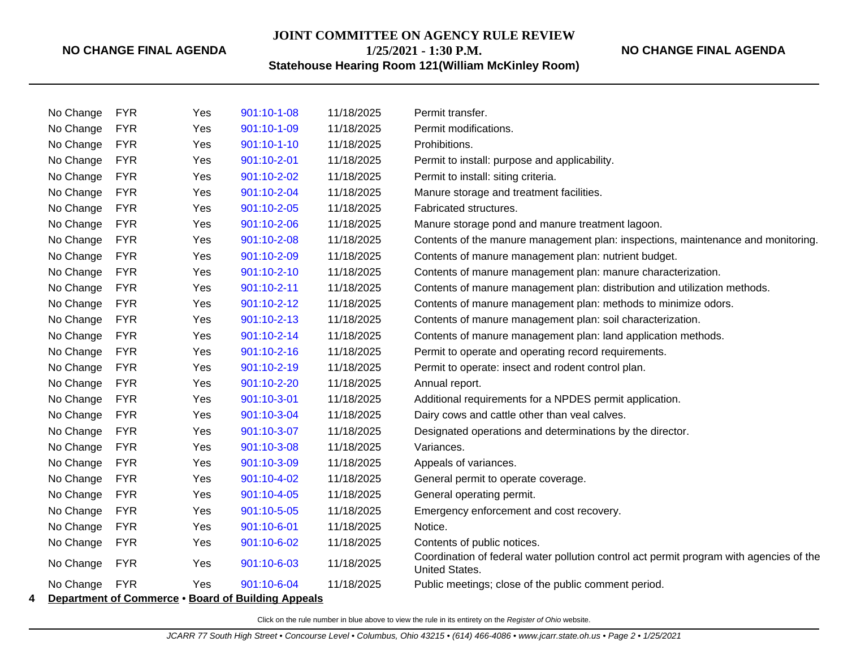**JOINT COMMITTEE ON AGENCY RULE REVIEW**

**1/25/2021 - 1:30 P.M.**

**Statehouse Hearing Room 121(William McKinley Room)**

| No Change | <b>FYR</b> | Yes | 901:10-1-08 | 11/18/2025 | Permit transfer.                                                                                                 |
|-----------|------------|-----|-------------|------------|------------------------------------------------------------------------------------------------------------------|
| No Change | <b>FYR</b> | Yes | 901:10-1-09 | 11/18/2025 | Permit modifications.                                                                                            |
| No Change | <b>FYR</b> | Yes | 901:10-1-10 | 11/18/2025 | Prohibitions.                                                                                                    |
| No Change | <b>FYR</b> | Yes | 901:10-2-01 | 11/18/2025 | Permit to install: purpose and applicability.                                                                    |
| No Change | <b>FYR</b> | Yes | 901:10-2-02 | 11/18/2025 | Permit to install: siting criteria.                                                                              |
| No Change | <b>FYR</b> | Yes | 901:10-2-04 | 11/18/2025 | Manure storage and treatment facilities.                                                                         |
| No Change | <b>FYR</b> | Yes | 901:10-2-05 | 11/18/2025 | Fabricated structures.                                                                                           |
| No Change | <b>FYR</b> | Yes | 901:10-2-06 | 11/18/2025 | Manure storage pond and manure treatment lagoon.                                                                 |
| No Change | <b>FYR</b> | Yes | 901:10-2-08 | 11/18/2025 | Contents of the manure management plan: inspections, maintenance and monitoring.                                 |
| No Change | <b>FYR</b> | Yes | 901:10-2-09 | 11/18/2025 | Contents of manure management plan: nutrient budget.                                                             |
| No Change | <b>FYR</b> | Yes | 901:10-2-10 | 11/18/2025 | Contents of manure management plan: manure characterization.                                                     |
| No Change | <b>FYR</b> | Yes | 901:10-2-11 | 11/18/2025 | Contents of manure management plan: distribution and utilization methods.                                        |
| No Change | <b>FYR</b> | Yes | 901:10-2-12 | 11/18/2025 | Contents of manure management plan: methods to minimize odors.                                                   |
| No Change | <b>FYR</b> | Yes | 901:10-2-13 | 11/18/2025 | Contents of manure management plan: soil characterization.                                                       |
| No Change | <b>FYR</b> | Yes | 901:10-2-14 | 11/18/2025 | Contents of manure management plan: land application methods.                                                    |
| No Change | <b>FYR</b> | Yes | 901:10-2-16 | 11/18/2025 | Permit to operate and operating record requirements.                                                             |
| No Change | <b>FYR</b> | Yes | 901:10-2-19 | 11/18/2025 | Permit to operate: insect and rodent control plan.                                                               |
| No Change | <b>FYR</b> | Yes | 901:10-2-20 | 11/18/2025 | Annual report.                                                                                                   |
| No Change | <b>FYR</b> | Yes | 901:10-3-01 | 11/18/2025 | Additional requirements for a NPDES permit application.                                                          |
| No Change | <b>FYR</b> | Yes | 901:10-3-04 | 11/18/2025 | Dairy cows and cattle other than veal calves.                                                                    |
| No Change | <b>FYR</b> | Yes | 901:10-3-07 | 11/18/2025 | Designated operations and determinations by the director.                                                        |
| No Change | <b>FYR</b> | Yes | 901:10-3-08 | 11/18/2025 | Variances.                                                                                                       |
| No Change | <b>FYR</b> | Yes | 901:10-3-09 | 11/18/2025 | Appeals of variances.                                                                                            |
| No Change | <b>FYR</b> | Yes | 901:10-4-02 | 11/18/2025 | General permit to operate coverage.                                                                              |
| No Change | <b>FYR</b> | Yes | 901:10-4-05 | 11/18/2025 | General operating permit.                                                                                        |
| No Change | <b>FYR</b> | Yes | 901:10-5-05 | 11/18/2025 | Emergency enforcement and cost recovery.                                                                         |
| No Change | <b>FYR</b> | Yes | 901:10-6-01 | 11/18/2025 | Notice.                                                                                                          |
| No Change | <b>FYR</b> | Yes | 901:10-6-02 | 11/18/2025 | Contents of public notices.                                                                                      |
| No Change | <b>FYR</b> | Yes | 901:10-6-03 | 11/18/2025 | Coordination of federal water pollution control act permit program with agencies of the<br><b>United States.</b> |
| No Change | <b>FYR</b> | Yes | 901:10-6-04 | 11/18/2025 | Public meetings; close of the public comment period.                                                             |

**4 Department of Commerce** • **Board of Building Appeals**

Click on the rule number in blue above to view the rule in its entirety on the Register of Ohio website.

**NO CHANGE FINAL AGENDA**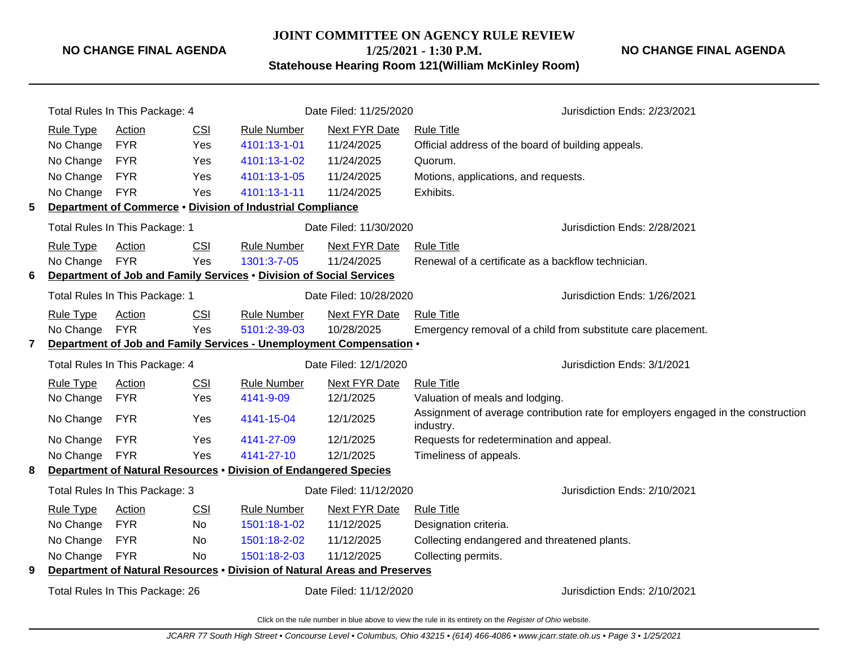**JOINT COMMITTEE ON AGENCY RULE REVIEW**

**NO CHANGE FINAL AGENDA**

**1/25/2021 - 1:30 P.M. Statehouse Hearing Room 121(William McKinley Room)**

|                                 | Total Rules In This Package: 4    |                                |            |                                                                           | Date Filed: 11/25/2020 | Jurisdiction Ends: 2/23/2021                                                                   |  |  |  |
|---------------------------------|-----------------------------------|--------------------------------|------------|---------------------------------------------------------------------------|------------------------|------------------------------------------------------------------------------------------------|--|--|--|
|                                 | <b>Rule Type</b><br>Action<br>CSI |                                |            | <b>Rule Number</b>                                                        | Next FYR Date          | <b>Rule Title</b>                                                                              |  |  |  |
|                                 | No Change                         | <b>FYR</b>                     | Yes        | 4101:13-1-01                                                              | 11/24/2025             | Official address of the board of building appeals.                                             |  |  |  |
|                                 | No Change                         | <b>FYR</b>                     | Yes        | 4101:13-1-02                                                              | 11/24/2025             | Quorum.                                                                                        |  |  |  |
|                                 | No Change                         | <b>FYR</b>                     | Yes        | 4101:13-1-05                                                              | 11/24/2025             | Motions, applications, and requests.                                                           |  |  |  |
|                                 | No Change                         | <b>FYR</b>                     | Yes        | 4101:13-1-11                                                              | 11/24/2025             | Exhibits.                                                                                      |  |  |  |
| 5                               |                                   |                                |            | Department of Commerce . Division of Industrial Compliance                |                        |                                                                                                |  |  |  |
|                                 |                                   | Total Rules In This Package: 1 |            |                                                                           | Date Filed: 11/30/2020 | Jurisdiction Ends: 2/28/2021                                                                   |  |  |  |
|                                 | <b>Rule Type</b>                  | Action                         | CSI        | <b>Rule Number</b>                                                        | <b>Next FYR Date</b>   | <b>Rule Title</b>                                                                              |  |  |  |
|                                 | No Change                         | <b>FYR</b>                     | Yes        | 1301:3-7-05                                                               | 11/24/2025             | Renewal of a certificate as a backflow technician.                                             |  |  |  |
| 6                               |                                   |                                |            | Department of Job and Family Services . Division of Social Services       |                        |                                                                                                |  |  |  |
|                                 |                                   | Total Rules In This Package: 1 |            |                                                                           | Date Filed: 10/28/2020 | Jurisdiction Ends: 1/26/2021                                                                   |  |  |  |
|                                 | <b>Rule Type</b>                  | Action                         | <b>CSI</b> | <b>Rule Number</b>                                                        | <b>Next FYR Date</b>   | <b>Rule Title</b>                                                                              |  |  |  |
|                                 | No Change                         | <b>FYR</b>                     | Yes        | 5101:2-39-03                                                              | 10/28/2025             | Emergency removal of a child from substitute care placement.                                   |  |  |  |
| $\mathbf{7}$                    |                                   |                                |            | Department of Job and Family Services - Unemployment Compensation .       |                        |                                                                                                |  |  |  |
|                                 | Total Rules In This Package: 4    |                                |            |                                                                           | Date Filed: 12/1/2020  | Jurisdiction Ends: 3/1/2021                                                                    |  |  |  |
|                                 | <b>Rule Type</b>                  | Action                         | <b>CSI</b> | <b>Rule Number</b>                                                        | <b>Next FYR Date</b>   | <b>Rule Title</b>                                                                              |  |  |  |
|                                 | No Change                         | <b>FYR</b>                     | Yes        | 4141-9-09                                                                 | 12/1/2025              | Valuation of meals and lodging.                                                                |  |  |  |
|                                 | No Change                         | <b>FYR</b>                     | Yes        | 4141-15-04                                                                | 12/1/2025              | Assignment of average contribution rate for employers engaged in the construction<br>industry. |  |  |  |
|                                 | No Change                         | <b>FYR</b>                     | Yes        | 4141-27-09                                                                | 12/1/2025              | Requests for redetermination and appeal.                                                       |  |  |  |
|                                 | No Change                         | <b>FYR</b>                     | Yes        | 4141-27-10                                                                | 12/1/2025              | Timeliness of appeals.                                                                         |  |  |  |
| 8                               |                                   |                                |            | Department of Natural Resources . Division of Endangered Species          |                        |                                                                                                |  |  |  |
|                                 | Total Rules In This Package: 3    |                                |            |                                                                           | Date Filed: 11/12/2020 | Jurisdiction Ends: 2/10/2021                                                                   |  |  |  |
|                                 | <b>Rule Type</b>                  | Action                         | CSI        | <b>Rule Number</b>                                                        | <b>Next FYR Date</b>   | <b>Rule Title</b>                                                                              |  |  |  |
|                                 | No Change                         | <b>FYR</b>                     | <b>No</b>  | 1501:18-1-02                                                              | 11/12/2025             | Designation criteria.                                                                          |  |  |  |
|                                 | No Change                         | <b>FYR</b>                     | <b>No</b>  | 1501:18-2-02                                                              | 11/12/2025             | Collecting endangered and threatened plants.                                                   |  |  |  |
|                                 | No Change                         | <b>FYR</b>                     | No.        | 1501:18-2-03                                                              | 11/12/2025             | Collecting permits.                                                                            |  |  |  |
| 9                               |                                   |                                |            | Department of Natural Resources . Division of Natural Areas and Preserves |                        |                                                                                                |  |  |  |
| Total Rules In This Package: 26 |                                   |                                |            |                                                                           | Date Filed: 11/12/2020 | Jurisdiction Ends: 2/10/2021                                                                   |  |  |  |
|                                 |                                   |                                |            |                                                                           |                        |                                                                                                |  |  |  |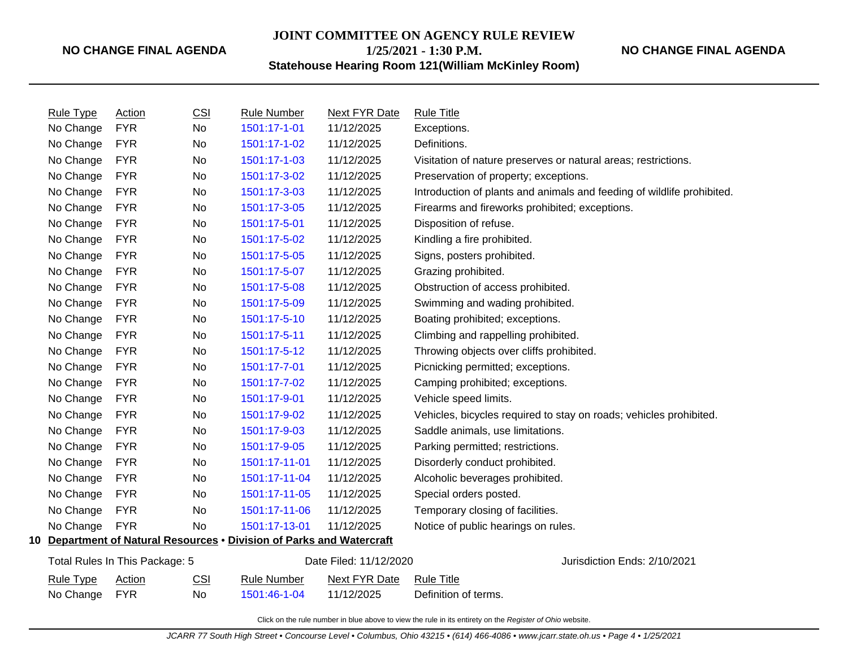**JOINT COMMITTEE ON AGENCY RULE REVIEW**

**1/25/2021 - 1:30 P.M.**

## **NO CHANGE FINAL AGENDA**

**Statehouse Hearing Room 121(William McKinley Room)**

| <b>Rule Type</b>                                         | Action     | CSI | <b>Rule Number</b>                                                    | Next FYR Date | <b>Rule Title</b>                                                      |
|----------------------------------------------------------|------------|-----|-----------------------------------------------------------------------|---------------|------------------------------------------------------------------------|
| No Change                                                | <b>FYR</b> | No  | 1501:17-1-01                                                          | 11/12/2025    | Exceptions.                                                            |
| No Change                                                | <b>FYR</b> | No  | 1501:17-1-02                                                          | 11/12/2025    | Definitions.                                                           |
| No Change                                                | <b>FYR</b> | No  | 1501:17-1-03                                                          | 11/12/2025    | Visitation of nature preserves or natural areas; restrictions.         |
| No Change                                                | <b>FYR</b> | No  | 1501:17-3-02                                                          | 11/12/2025    | Preservation of property; exceptions.                                  |
| No Change                                                | <b>FYR</b> | No  | 1501:17-3-03                                                          | 11/12/2025    | Introduction of plants and animals and feeding of wildlife prohibited. |
| No Change                                                | <b>FYR</b> | No  | 1501:17-3-05                                                          | 11/12/2025    | Firearms and fireworks prohibited; exceptions.                         |
| No Change                                                | <b>FYR</b> | No  | 1501:17-5-01                                                          | 11/12/2025    | Disposition of refuse.                                                 |
| No Change                                                | <b>FYR</b> | No  | 1501:17-5-02                                                          | 11/12/2025    | Kindling a fire prohibited.                                            |
| No Change                                                | <b>FYR</b> | No  | 1501:17-5-05                                                          | 11/12/2025    | Signs, posters prohibited.                                             |
| No Change                                                | <b>FYR</b> | No  | 1501:17-5-07                                                          | 11/12/2025    | Grazing prohibited.                                                    |
| No Change                                                | <b>FYR</b> | No  | 1501:17-5-08                                                          | 11/12/2025    | Obstruction of access prohibited.                                      |
| No Change                                                | <b>FYR</b> | No  | 1501:17-5-09                                                          | 11/12/2025    | Swimming and wading prohibited.                                        |
| No Change                                                | <b>FYR</b> | No  | 1501:17-5-10                                                          | 11/12/2025    | Boating prohibited; exceptions.                                        |
| No Change                                                | <b>FYR</b> | No  | 1501:17-5-11                                                          | 11/12/2025    | Climbing and rappelling prohibited.                                    |
| No Change                                                | <b>FYR</b> | No  | 1501:17-5-12                                                          | 11/12/2025    | Throwing objects over cliffs prohibited.                               |
| No Change                                                | <b>FYR</b> | No  | 1501:17-7-01                                                          | 11/12/2025    | Picnicking permitted; exceptions.                                      |
| No Change                                                | <b>FYR</b> | No  | 1501:17-7-02                                                          | 11/12/2025    | Camping prohibited; exceptions.                                        |
| No Change                                                | <b>FYR</b> | No  | 1501:17-9-01                                                          | 11/12/2025    | Vehicle speed limits.                                                  |
| No Change                                                | <b>FYR</b> | No  | 1501:17-9-02                                                          | 11/12/2025    | Vehicles, bicycles required to stay on roads; vehicles prohibited.     |
| No Change                                                | <b>FYR</b> | No  | 1501:17-9-03                                                          | 11/12/2025    | Saddle animals, use limitations.                                       |
| No Change                                                | <b>FYR</b> | No  | 1501:17-9-05                                                          | 11/12/2025    | Parking permitted; restrictions.                                       |
| No Change                                                | <b>FYR</b> | No  | 1501:17-11-01                                                         | 11/12/2025    | Disorderly conduct prohibited.                                         |
| No Change                                                | <b>FYR</b> | No  | 1501:17-11-04                                                         | 11/12/2025    | Alcoholic beverages prohibited.                                        |
| No Change                                                | <b>FYR</b> | No  | 1501:17-11-05                                                         | 11/12/2025    | Special orders posted.                                                 |
| No Change                                                | <b>FYR</b> | No  | 1501:17-11-06                                                         | 11/12/2025    | Temporary closing of facilities.                                       |
| No Change                                                | <b>FYR</b> | No  | 1501:17-13-01                                                         | 11/12/2025    | Notice of public hearings on rules.                                    |
|                                                          |            |     | 10 Department of Natural Resources . Division of Parks and Watercraft |               |                                                                        |
| Date Filed: 11/12/2020<br>Total Rules In This Package: 5 |            |     |                                                                       |               | Jurisdiction Ends: 2/10/2021                                           |
| <b>Rule Type</b>                                         | Action     | CSI | <b>Rule Number</b>                                                    | Next FYR Date | <b>Rule Title</b>                                                      |
| No Change                                                | <b>FYR</b> | No. | 1501:46-1-04                                                          | 11/12/2025    | Definition of terms.                                                   |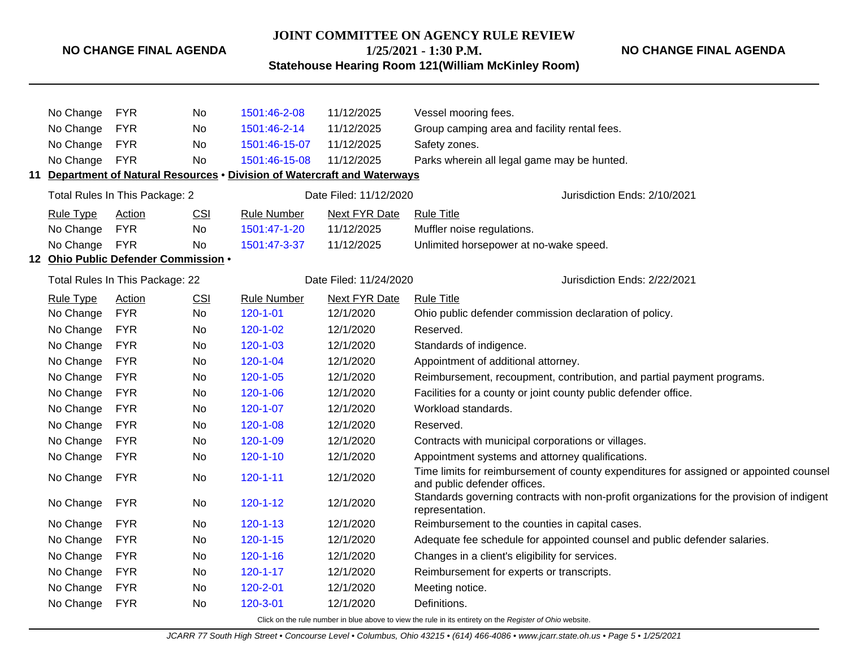## **JOINT COMMITTEE ON AGENCY RULE REVIEW 1/25/2021 - 1:30 P.M.**

**NO CHANGE FINAL AGENDA**

**Statehouse Hearing Room 121(William McKinley Room)**

| <b>FYR</b><br>No Change<br>No |                               |                                                          |                | 1501:46-2-08               | 11/12/2025                                                             | Vessel mooring fees.                                                                                                                                      |  |  |
|-------------------------------|-------------------------------|----------------------------------------------------------|----------------|----------------------------|------------------------------------------------------------------------|-----------------------------------------------------------------------------------------------------------------------------------------------------------|--|--|
|                               | No Change                     | <b>FYR</b>                                               | No             | 1501:46-2-14<br>11/12/2025 |                                                                        | Group camping area and facility rental fees.                                                                                                              |  |  |
|                               | No Change                     | <b>FYR</b>                                               | No             | 1501:46-15-07              | 11/12/2025                                                             | Safety zones.                                                                                                                                             |  |  |
|                               | No Change                     | <b>FYR</b>                                               | <b>No</b>      | 1501:46-15-08              | 11/12/2025                                                             | Parks wherein all legal game may be hunted.                                                                                                               |  |  |
| 11                            |                               |                                                          |                |                            | Department of Natural Resources . Division of Watercraft and Waterways |                                                                                                                                                           |  |  |
|                               |                               | Total Rules In This Package: 2<br>Date Filed: 11/12/2020 |                |                            |                                                                        | Jurisdiction Ends: 2/10/2021                                                                                                                              |  |  |
|                               | <b>Rule Type</b>              | Action                                                   | <b>CSI</b>     | <b>Rule Number</b>         | Next FYR Date                                                          | <b>Rule Title</b>                                                                                                                                         |  |  |
|                               | No Change                     | <b>FYR</b>                                               | No             | 1501:47-1-20               | 11/12/2025                                                             | Muffler noise regulations.                                                                                                                                |  |  |
|                               | No Change                     | <b>FYR</b>                                               | <b>No</b>      | 1501:47-3-37               | 11/12/2025                                                             | Unlimited horsepower at no-wake speed.                                                                                                                    |  |  |
|                               |                               | 12 Ohio Public Defender Commission .                     |                |                            |                                                                        |                                                                                                                                                           |  |  |
|                               |                               | Total Rules In This Package: 22                          |                |                            | Date Filed: 11/24/2020                                                 | Jurisdiction Ends: 2/22/2021                                                                                                                              |  |  |
|                               | Rule Type                     | Action                                                   | <b>CSI</b>     | <b>Rule Number</b>         | Next FYR Date                                                          | <b>Rule Title</b>                                                                                                                                         |  |  |
|                               | <b>FYR</b><br>No Change<br>No |                                                          | $120 - 1 - 01$ | 12/1/2020                  | Ohio public defender commission declaration of policy.                 |                                                                                                                                                           |  |  |
|                               | No Change                     | <b>FYR</b>                                               | No             | 120-1-02                   | 12/1/2020                                                              | Reserved.                                                                                                                                                 |  |  |
|                               | No Change                     | <b>FYR</b>                                               | No             | $120 - 1 - 03$             | 12/1/2020                                                              | Standards of indigence.                                                                                                                                   |  |  |
|                               | No Change                     | <b>FYR</b>                                               | No             | $120 - 1 - 04$             | 12/1/2020                                                              | Appointment of additional attorney.                                                                                                                       |  |  |
|                               | No Change                     | <b>FYR</b>                                               | No             | $120 - 1 - 05$             | 12/1/2020                                                              | Reimbursement, recoupment, contribution, and partial payment programs.                                                                                    |  |  |
|                               | No Change                     | <b>FYR</b>                                               | No             | $120 - 1 - 06$             | 12/1/2020                                                              | Facilities for a county or joint county public defender office.<br>Workload standards.<br>Reserved.<br>Contracts with municipal corporations or villages. |  |  |
|                               | No Change                     | <b>FYR</b>                                               | No             | $120 - 1 - 07$             | 12/1/2020                                                              |                                                                                                                                                           |  |  |
|                               | No Change                     | <b>FYR</b>                                               | No             | 120-1-08                   | 12/1/2020                                                              |                                                                                                                                                           |  |  |
|                               | No Change                     | <b>FYR</b>                                               | No             | 120-1-09                   | 12/1/2020                                                              |                                                                                                                                                           |  |  |
|                               | No Change                     | <b>FYR</b>                                               | No             | $120 - 1 - 10$             | 12/1/2020                                                              | Appointment systems and attorney qualifications.                                                                                                          |  |  |
|                               | No Change                     | <b>FYR</b>                                               | No             | $120 - 1 - 11$             | 12/1/2020                                                              | Time limits for reimbursement of county expenditures for assigned or appointed counsel<br>and public defender offices.                                    |  |  |
|                               | No Change                     | <b>FYR</b>                                               | <b>No</b>      | $120 - 1 - 12$             | 12/1/2020                                                              | Standards governing contracts with non-profit organizations for the provision of indigent<br>representation.                                              |  |  |
|                               | No Change                     | <b>FYR</b>                                               | No             | $120 - 1 - 13$             | 12/1/2020                                                              | Reimbursement to the counties in capital cases.                                                                                                           |  |  |
|                               | No Change                     | <b>FYR</b>                                               | No             | $120 - 1 - 15$             | 12/1/2020                                                              | Adequate fee schedule for appointed counsel and public defender salaries.                                                                                 |  |  |
|                               | No Change                     | <b>FYR</b>                                               | No.            | $120 - 1 - 16$             | 12/1/2020                                                              | Changes in a client's eligibility for services.                                                                                                           |  |  |
|                               | No Change                     | <b>FYR</b>                                               | No.            | $120 - 1 - 17$             | 12/1/2020                                                              | Reimbursement for experts or transcripts.                                                                                                                 |  |  |
|                               | No Change                     | <b>FYR</b>                                               | No.            | 120-2-01                   | 12/1/2020                                                              | Meeting notice.                                                                                                                                           |  |  |
|                               | No Change                     | <b>FYR</b>                                               | <b>No</b>      | 120-3-01                   | 12/1/2020                                                              | Definitions.                                                                                                                                              |  |  |
|                               |                               |                                                          |                |                            |                                                                        | Click on the rule number in blue above to view the rule in its entirety on the Register of Ohio website.                                                  |  |  |

JCARR 77 South High Street • Concourse Level • Columbus, Ohio 43215 • (614) 466-4086 • www.jcarr.state.oh.us • Page 5 • 1/25/2021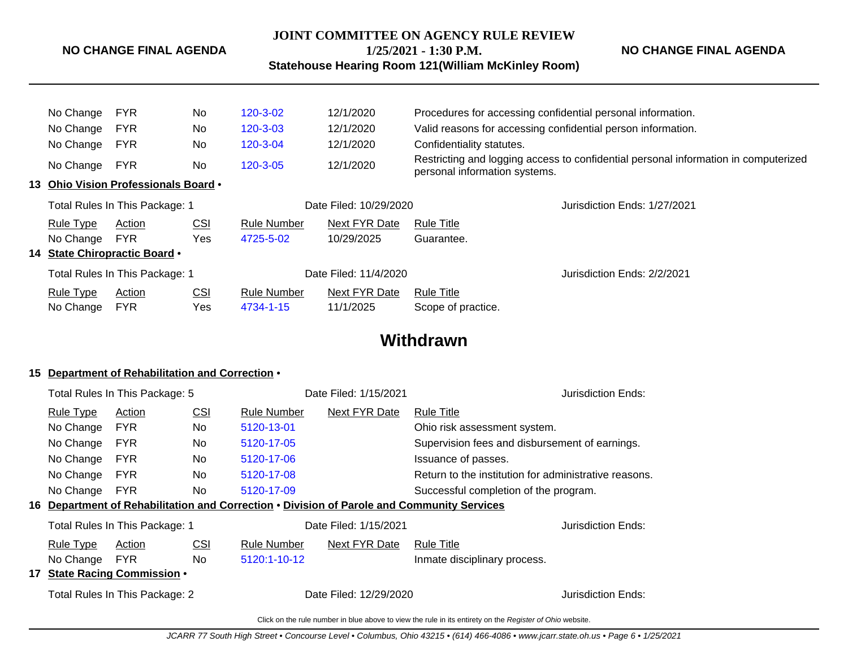# **JOINT COMMITTEE ON AGENCY RULE REVIEW**

**NO CHANGE FINAL AGENDA**

# **1/25/2021 - 1:30 P.M.**

**NO CHANGE FINAL AGENDA**

**Statehouse Hearing Room 121(William McKinley Room)**

|                                | No Change        | <b>FYR</b>                           | <b>No</b>  | 120-3-02              | 12/1/2020              | Procedures for accessing confidential personal information.  |                                                                                     |  |
|--------------------------------|------------------|--------------------------------------|------------|-----------------------|------------------------|--------------------------------------------------------------|-------------------------------------------------------------------------------------|--|
|                                | No Change        | <b>FYR</b>                           | No         | 120-3-03              | 12/1/2020              | Valid reasons for accessing confidential person information. |                                                                                     |  |
|                                | No Change        | <b>FYR</b>                           | No         | 120-3-04              | 12/1/2020              | Confidentiality statutes.                                    |                                                                                     |  |
|                                | No Change        | <b>FYR</b>                           | <b>No</b>  | 120-3-05              | 12/1/2020              | personal information systems.                                | Restricting and logging access to confidential personal information in computerized |  |
|                                |                  | 13 Ohio Vision Professionals Board • |            |                       |                        |                                                              |                                                                                     |  |
| Total Rules In This Package: 1 |                  |                                      |            |                       | Date Filed: 10/29/2020 |                                                              | Jurisdiction Ends: 1/27/2021                                                        |  |
|                                | <b>Rule Type</b> | Action                               | <u>CSI</u> | <b>Rule Number</b>    | Next FYR Date          | <b>Rule Title</b>                                            |                                                                                     |  |
|                                | No Change        | <b>FYR</b>                           | Yes        | 4725-5-02             | 10/29/2025             | Guarantee.                                                   |                                                                                     |  |
|                                |                  | 14 State Chiropractic Board •        |            |                       |                        |                                                              |                                                                                     |  |
| Total Rules In This Package: 1 |                  |                                      |            | Date Filed: 11/4/2020 |                        | Jurisdiction Ends: 2/2/2021                                  |                                                                                     |  |
|                                | <b>Rule Type</b> | Action                               | <u>CSI</u> | <b>Rule Number</b>    | Next FYR Date          | <b>Rule Title</b>                                            |                                                                                     |  |
|                                | No Change        | <b>FYR</b>                           | Yes        | 4734-1-15             | 11/1/2025              | Scope of practice.                                           |                                                                                     |  |
|                                |                  |                                      |            |                       |                        |                                                              |                                                                                     |  |

# **Withdrawn**

## **15 Department of Rehabilitation and Correction** •

|    |                                | Total Rules In This Package: 5   |            |                    | Date Filed: 1/15/2021  |                                                                                                | Jurisdiction Ends:                             |  |
|----|--------------------------------|----------------------------------|------------|--------------------|------------------------|------------------------------------------------------------------------------------------------|------------------------------------------------|--|
|    | <b>Rule Type</b>               | Action                           | <u>CSI</u> | <b>Rule Number</b> | Next FYR Date          | <b>Rule Title</b>                                                                              |                                                |  |
|    | No Change                      | <b>FYR</b>                       | No.        | 5120-13-01         |                        | Ohio risk assessment system.                                                                   |                                                |  |
|    | No Change<br><b>FYR</b><br>No. |                                  |            | 5120-17-05         |                        |                                                                                                | Supervision fees and disbursement of earnings. |  |
|    | No Change<br><b>FYR</b><br>No. |                                  |            | 5120-17-06         |                        | Issuance of passes.                                                                            |                                                |  |
|    | No Change                      | <b>FYR</b>                       | No.        | 5120-17-08         |                        | Return to the institution for administrative reasons.                                          |                                                |  |
|    | No Change                      | <b>FYR</b>                       | No.        | 5120-17-09         |                        | Successful completion of the program.                                                          |                                                |  |
| 16 |                                |                                  |            |                    |                        | <b>Department of Rehabilitation and Correction • Division of Parole and Community Services</b> |                                                |  |
|    |                                | Total Rules In This Package: 1   |            |                    | Date Filed: 1/15/2021  |                                                                                                | Jurisdiction Ends:                             |  |
|    | <u>Rule Type</u>               | Action                           | <u>CSI</u> | <b>Rule Number</b> | Next FYR Date          | <b>Rule Title</b>                                                                              |                                                |  |
|    | No Change                      | <b>FYR</b>                       | No.        | 5120:1-10-12       |                        | Inmate disciplinary process.                                                                   |                                                |  |
| 17 |                                | <b>State Racing Commission .</b> |            |                    |                        |                                                                                                |                                                |  |
|    |                                | Total Rules In This Package: 2   |            |                    | Date Filed: 12/29/2020 |                                                                                                | Jurisdiction Ends:                             |  |